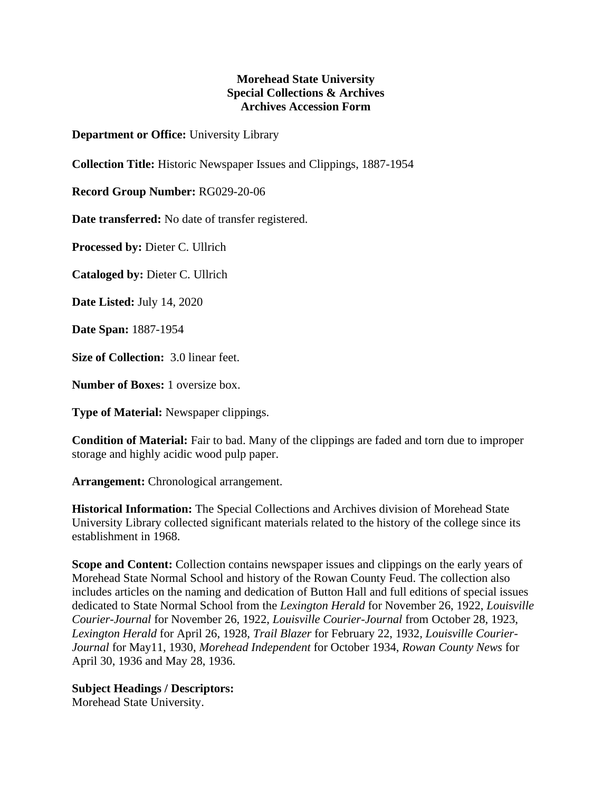## **Morehead State University Special Collections & Archives Archives Accession Form**

**Department or Office:** University Library

**Collection Title:** Historic Newspaper Issues and Clippings, 1887-1954

**Record Group Number:** RG029-20-06

**Date transferred:** No date of transfer registered.

**Processed by:** Dieter C. Ullrich

**Cataloged by:** Dieter C. Ullrich

**Date Listed:** July 14, 2020

**Date Span:** 1887-1954

**Size of Collection:** 3.0 linear feet.

**Number of Boxes:** 1 oversize box.

**Type of Material:** Newspaper clippings.

**Condition of Material:** Fair to bad. Many of the clippings are faded and torn due to improper storage and highly acidic wood pulp paper.

**Arrangement:** Chronological arrangement.

**Historical Information:** The Special Collections and Archives division of Morehead State University Library collected significant materials related to the history of the college since its establishment in 1968.

**Scope and Content:** Collection contains newspaper issues and clippings on the early years of Morehead State Normal School and history of the Rowan County Feud. The collection also includes articles on the naming and dedication of Button Hall and full editions of special issues dedicated to State Normal School from the *Lexington Herald* for November 26, 1922, *Louisville Courier-Journal* for November 26, 1922, *Louisville Courier-Journal* from October 28, 1923, *Lexington Herald* for April 26, 1928, *Trail Blazer* for February 22, 1932*, Louisville Courier-Journal* for May11, 1930, *Morehead Independent* for October 1934, *Rowan County News* for April 30, 1936 and May 28, 1936.

## **Subject Headings / Descriptors:**

Morehead State University.